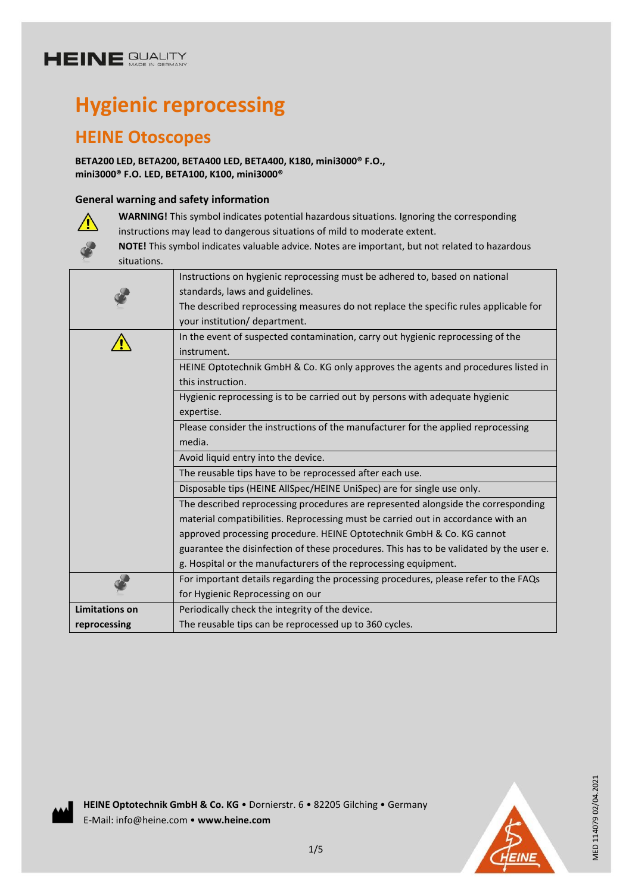# **HEINE GUALITY**

# **Hygienic reprocessing**

### **HEINE Otoscopes**

**BETA200 LED, BETA200, BETA400 LED, BETA400, K180, mini3000® F.O., mini3000® F.O. LED, BETA100, K100, mini3000®**

#### **General warning and safety information**



**WARNING!** This symbol indicates potential hazardous situations. Ignoring the corresponding instructions may lead to dangerous situations of mild to moderate extent.

**NOTE!** This symbol indicates valuable advice. Notes are important, but not related to hazardous situations.

|                       | Instructions on hygienic reprocessing must be adhered to, based on national             |
|-----------------------|-----------------------------------------------------------------------------------------|
|                       | standards, laws and guidelines.                                                         |
|                       | The described reprocessing measures do not replace the specific rules applicable for    |
|                       | your institution/ department.                                                           |
|                       | In the event of suspected contamination, carry out hygienic reprocessing of the         |
|                       | instrument.                                                                             |
|                       | HEINE Optotechnik GmbH & Co. KG only approves the agents and procedures listed in       |
|                       | this instruction.                                                                       |
|                       | Hygienic reprocessing is to be carried out by persons with adequate hygienic            |
|                       | expertise.                                                                              |
|                       | Please consider the instructions of the manufacturer for the applied reprocessing       |
|                       | media.                                                                                  |
|                       |                                                                                         |
|                       | Avoid liquid entry into the device.                                                     |
|                       | The reusable tips have to be reprocessed after each use.                                |
|                       | Disposable tips (HEINE AllSpec/HEINE UniSpec) are for single use only.                  |
|                       | The described reprocessing procedures are represented alongside the corresponding       |
|                       | material compatibilities. Reprocessing must be carried out in accordance with an        |
|                       | approved processing procedure. HEINE Optotechnik GmbH & Co. KG cannot                   |
|                       | guarantee the disinfection of these procedures. This has to be validated by the user e. |
|                       | g. Hospital or the manufacturers of the reprocessing equipment.                         |
|                       | For important details regarding the processing procedures, please refer to the FAQs     |
|                       | for Hygienic Reprocessing on our                                                        |
| <b>Limitations on</b> | Periodically check the integrity of the device.                                         |

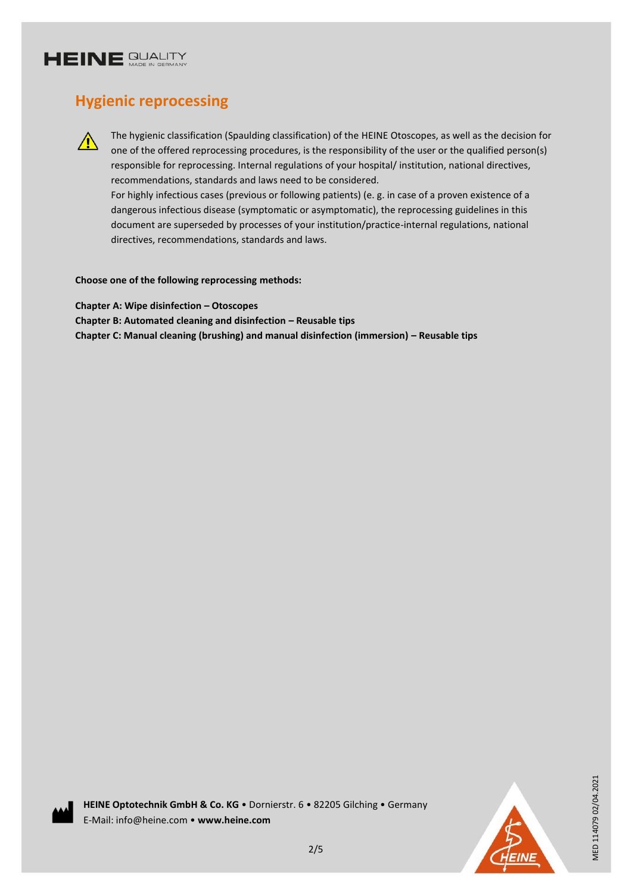

### **Hygienic reprocessing**



The hygienic classification (Spaulding classification) of the HEINE Otoscopes, as well as the decision for one of the offered reprocessing procedures, is the responsibility of the user or the qualified person(s) responsible for reprocessing. Internal regulations of your hospital/ institution, national directives, recommendations, standards and laws need to be considered.

For highly infectious cases (previous or following patients) (e. g. in case of a proven existence of a dangerous infectious disease (symptomatic or asymptomatic), the reprocessing guidelines in this document are superseded by processes of your institution/practice-internal regulations, national directives, recommendations, standards and laws.

**Choose one of the following reprocessing methods:**

**Chapter A: Wipe disinfection – Otoscopes Chapter B: Automated cleaning and disinfection – Reusable tips Chapter C: Manual cleaning (brushing) and manual disinfection (immersion) – Reusable tips**





MED 114079 02/04.2021

MED 114079 02/04.2021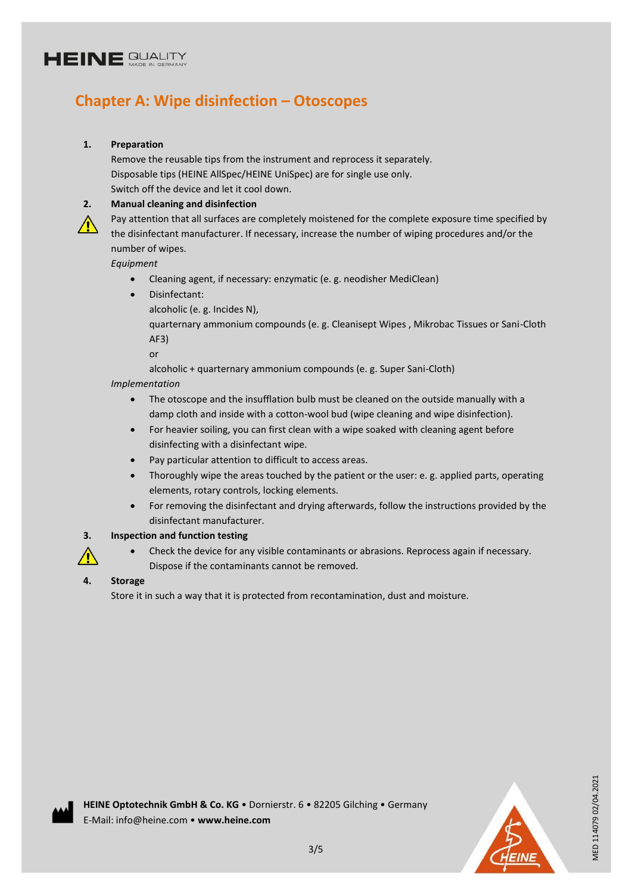# **HEINE GUALITY**

### **Chapter A: Wipe disinfection – Otoscopes**

#### **1. Preparation**

Remove the reusable tips from the instrument and reprocess it separately. Disposable tips (HEINE AllSpec/HEINE UniSpec) are for single use only. Switch off the device and let it cool down.

#### **2. Manual cleaning and disinfection**

Pay attention that all surfaces are completely moistened for the complete exposure time specified by the disinfectant manufacturer. If necessary, increase the number of wiping procedures and/or the number of wipes.

*Equipment* 

- Cleaning agent, if necessary: enzymatic (e. g. neodisher MediClean)
- Disinfectant:
	- alcoholic (e. g. Incides N),

quarternary ammonium compounds (e. g. Cleanisept Wipes , Mikrobac Tissues or Sani-Cloth AF3)

or

alcoholic + quarternary ammonium compounds (e. g. Super Sani-Cloth)

#### *Implementation*

- The otoscope and the insufflation bulb must be cleaned on the outside manually with a damp cloth and inside with a cotton-wool bud (wipe cleaning and wipe disinfection).
- For heavier soiling, you can first clean with a wipe soaked with cleaning agent before disinfecting with a disinfectant wipe.
- Pay particular attention to difficult to access areas.
- Thoroughly wipe the areas touched by the patient or the user: e. g. applied parts, operating elements, rotary controls, locking elements.
- For removing the disinfectant and drying afterwards, follow the instructions provided by the disinfectant manufacturer.

#### **3. Inspection and function testing**

 Check the device for any visible contaminants or abrasions. Reprocess again if necessary. Dispose if the contaminants cannot be removed.

#### **4. Storage**

Store it in such a way that it is protected from recontamination, dust and moisture.

MED 114079 02/04.2021

MED 114079 02/04.2021

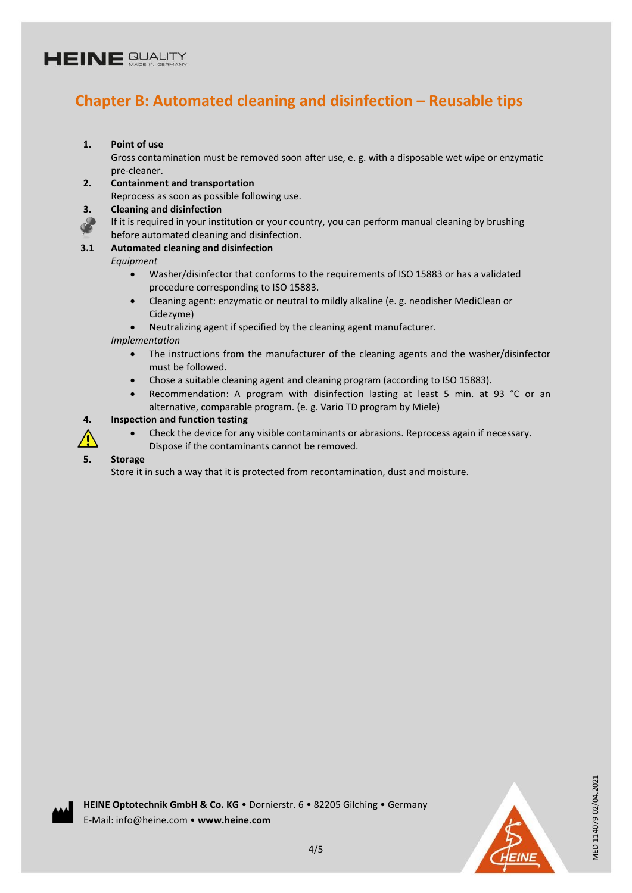# **HEINE GUALITY**

### **Chapter B: Automated cleaning and disinfection – Reusable tips**

#### **1. Point of use**

Gross contamination must be removed soon after use, e. g. with a disposable wet wipe or enzymatic pre-cleaner.

#### **2. Containment and transportation**

Reprocess as soon as possible following use.

#### **3. Cleaning and disinfection**

If it is required in your institution or your country, you can perform manual cleaning by brushing before automated cleaning and disinfection.

#### **3.1 Automated cleaning and disinfection**

*Equipment* 

- Washer/disinfector that conforms to the requirements of ISO 15883 or has a validated procedure corresponding to ISO 15883.
- Cleaning agent: enzymatic or neutral to mildly alkaline (e. g. neodisher MediClean or Cidezyme)
- Neutralizing agent if specified by the cleaning agent manufacturer.

#### *Implementation*

- The instructions from the manufacturer of the cleaning agents and the washer/disinfector must be followed.
- Chose a suitable cleaning agent and cleaning program (according to ISO 15883).
- Recommendation: A program with disinfection lasting at least 5 min. at 93 °C or an alternative, comparable program. (e. g. Vario TD program by Miele)

#### **4. Inspection and function testing**



 Check the device for any visible contaminants or abrasions. Reprocess again if necessary. Dispose if the contaminants cannot be removed.

#### **5. Storage**

Store it in such a way that it is protected from recontamination, dust and moisture.